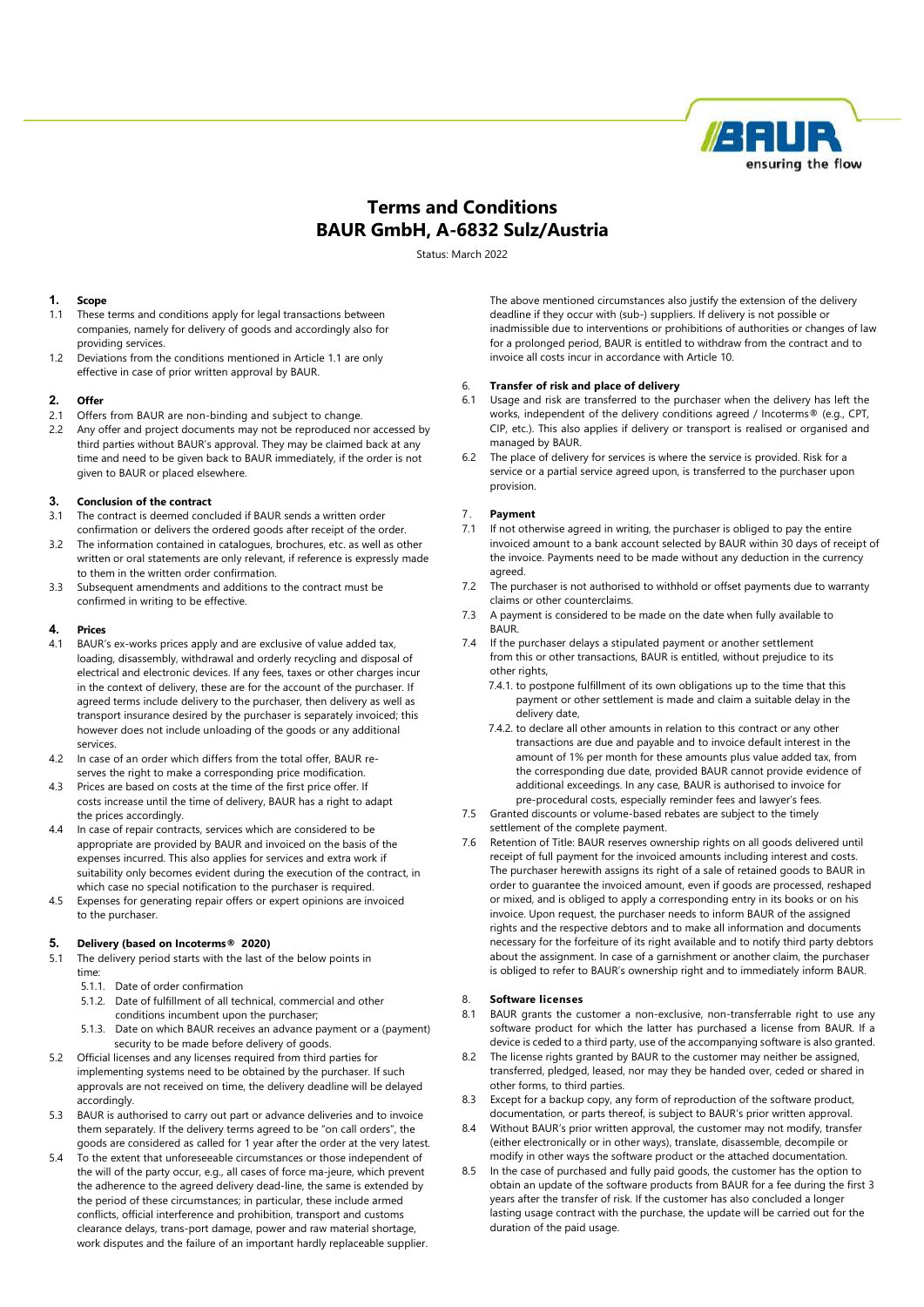

# Terms and Conditions BAUR GmbH, A-6832 Sulz/Austria

Status: March 2022

# 1. Scope

- 1.1 These terms and conditions apply for legal transactions between companies, namely for delivery of goods and accordingly also for providing services.
- 1.2 Deviations from the conditions mentioned in Article 1.1 are only effective in case of prior written approval by BAUR.

# 2. Offer

- 2.1 Offers from BAUR are non-binding and subject to change.
- 2.2 Any offer and project documents may not be reproduced nor accessed by third parties without BAUR's approval. They may be claimed back at any time and need to be given back to BAUR immediately, if the order is not given to BAUR or placed elsewhere.

# 3. Conclusion of the contract

- 3.1 The contract is deemed concluded if BAUR sends a written order
- confirmation or delivers the ordered goods after receipt of the order. 3.2 The information contained in catalogues, brochures, etc. as well as other written or oral statements are only relevant, if reference is expressly made to them in the written order confirmation.
- 3.3 Subsequent amendments and additions to the contract must be confirmed in writing to be effective.

#### 4. Prices

- 4.1 BAUR's ex-works prices apply and are exclusive of value added tax, loading, disassembly, withdrawal and orderly recycling and disposal of electrical and electronic devices. If any fees, taxes or other charges incur in the context of delivery, these are for the account of the purchaser. If agreed terms include delivery to the purchaser, then delivery as well as transport insurance desired by the purchaser is separately invoiced; this however does not include unloading of the goods or any additional services.
- 4.2 In case of an order which differs from the total offer, BAUR reserves the right to make a corresponding price modification.
- 4.3 Prices are based on costs at the time of the first price offer. If costs increase until the time of delivery, BAUR has a right to adapt the prices accordingly.
- 4.4 In case of repair contracts, services which are considered to be appropriate are provided by BAUR and invoiced on the basis of the expenses incurred. This also applies for services and extra work if suitability only becomes evident during the execution of the contract, in which case no special notification to the purchaser is required.
- 4.5 Expenses for generating repair offers or expert opinions are invoiced to the purchaser.

#### 5. Delivery (based on Incoterms® 2020)

- 5.1 The delivery period starts with the last of the below points in time:
	- 5.1.1. Date of order confirmation
	- 5.1.2. Date of fulfillment of all technical, commercial and other conditions incumbent upon the purchaser;
	- 5.1.3. Date on which BAUR receives an advance payment or a (payment) security to be made before delivery of goods.
- 5.2 Official licenses and any licenses required from third parties for implementing systems need to be obtained by the purchaser. If such approvals are not received on time, the delivery deadline will be delayed accordingly.
- 5.3 BAUR is authorised to carry out part or advance deliveries and to invoice them separately. If the delivery terms agreed to be "on call orders", the goods are considered as called for 1 year after the order at the very latest.
- 5.4 To the extent that unforeseeable circumstances or those independent of the will of the party occur, e.g., all cases of force ma-jeure, which prevent the adherence to the agreed delivery dead-line, the same is extended by the period of these circumstances; in particular, these include armed conflicts, official interference and prohibition, transport and customs clearance delays, trans-port damage, power and raw material shortage, work disputes and the failure of an important hardly replaceable supplier.

The above mentioned circumstances also justify the extension of the delivery deadline if they occur with (sub-) suppliers. If delivery is not possible or inadmissible due to interventions or prohibitions of authorities or changes of law for a prolonged period, BAUR is entitled to withdraw from the contract and to invoice all costs incur in accordance with Article 10.

# 6. Transfer of risk and place of delivery

- 6.1 Usage and risk are transferred to the purchaser when the delivery has left the works, independent of the delivery conditions agreed / Incoterms® (e.g., CPT, CIP, etc.). This also applies if delivery or transport is realised or organised and managed by BAUR.
- 6.2 The place of delivery for services is where the service is provided. Risk for a service or a partial service agreed upon, is transferred to the purchaser upon provision.

# 7. Payment

- 7.1 If not otherwise agreed in writing, the purchaser is obliged to pay the entire invoiced amount to a bank account selected by BAUR within 30 days of receipt of the invoice. Payments need to be made without any deduction in the currency agreed.
- 7.2 The purchaser is not authorised to withhold or offset payments due to warranty claims or other counterclaims.
- 7.3 A payment is considered to be made on the date when fully available to BAUR.
- 7.4 If the purchaser delays a stipulated payment or another settlement from this or other transactions, BAUR is entitled, without prejudice to its other rights.
	- 7.4.1. to postpone fulfillment of its own obligations up to the time that this payment or other settlement is made and claim a suitable delay in the delivery date,
	- 7.4.2. to declare all other amounts in relation to this contract or any other transactions are due and payable and to invoice default interest in the amount of 1% per month for these amounts plus value added tax, from the corresponding due date, provided BAUR cannot provide evidence of additional exceedings. In any case, BAUR is authorised to invoice for pre-procedural costs, especially reminder fees and lawyer's fees.
- 7.5 Granted discounts or volume-based rebates are subject to the timely
- settlement of the complete payment.
- 7.6 Retention of Title: BAUR reserves ownership rights on all goods delivered until receipt of full payment for the invoiced amounts including interest and costs. The purchaser herewith assigns its right of a sale of retained goods to BAUR in order to guarantee the invoiced amount, even if goods are processed, reshaped or mixed, and is obliged to apply a corresponding entry in its books or on his invoice. Upon request, the purchaser needs to inform BAUR of the assigned rights and the respective debtors and to make all information and documents necessary for the forfeiture of its right available and to notify third party debtors about the assignment. In case of a garnishment or another claim, the purchaser is obliged to refer to BAUR's ownership right and to immediately inform BAUR.

# 8. Software licenses

- 8.1 BAUR grants the customer a non-exclusive, non-transferrable right to use any software product for which the latter has purchased a license from BAUR. If a device is ceded to a third party, use of the accompanying software is also granted.
- 8.2 The license rights granted by BAUR to the customer may neither be assigned, transferred, pledged, leased, nor may they be handed over, ceded or shared in other forms, to third parties.
- 8.3 Except for a backup copy, any form of reproduction of the software product, documentation, or parts thereof, is subject to BAUR's prior written approval.
- 8.4 Without BAUR's prior written approval, the customer may not modify, transfer (either electronically or in other ways), translate, disassemble, decompile or modify in other ways the software product or the attached documentation.
- 8.5 In the case of purchased and fully paid goods, the customer has the option to obtain an update of the software products from BAUR for a fee during the first 3 years after the transfer of risk. If the customer has also concluded a longer lasting usage contract with the purchase, the update will be carried out for the duration of the paid usage.